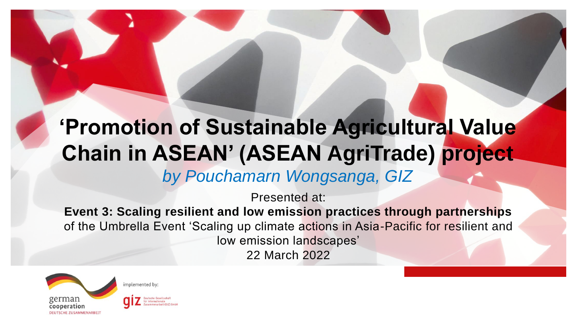## **'Promotion of Sustainable Agricultural Value Chain in ASEAN' (ASEAN AgriTrade) project** *by Pouchamarn Wongsanga, GIZ*

Presented at:

**Event 3: Scaling resilient and low emission practices through partnerships** of the Umbrella Event 'Scaling up climate actions in Asia-Pacific for resilient and low emission landscapes' 22 March 2022



mplemented by: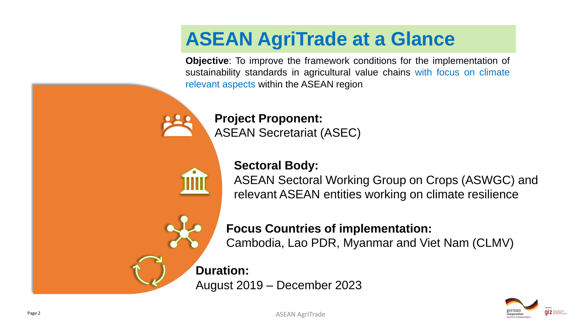#### **ASEAN AgriTrade at a Glance**

**Objective**: To improve the framework conditions for the implementation of sustainability standards in agricultural value chains with focus on climate relevant aspects within the ASEAN region



**Project Proponent:** ASEAN Secretariat (ASEC)

**Sectoral Body:**

ASEAN Sectoral Working Group on Crops (ASWGC) and relevant ASEAN entities working on climate resilience

**Focus Countries of implementation:** Cambodia, Lao PDR, Myanmar and Viet Nam (CLMV)

**Duration:**

August 2019 – December 2023



ASEAN AgriTrade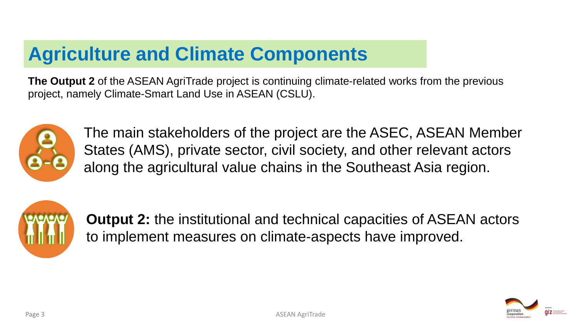## **Agriculture and Climate Components**

**The Output 2** of the ASEAN AgriTrade project is continuing climate-related works from the previous project, namely Climate-Smart Land Use in ASEAN (CSLU).



The main stakeholders of the project are the ASEC, ASEAN Member States (AMS), private sector, civil society, and other relevant actors along the agricultural value chains in the Southeast Asia region.



**Output 2:** the institutional and technical capacities of ASEAN actors to implement measures on climate-aspects have improved.

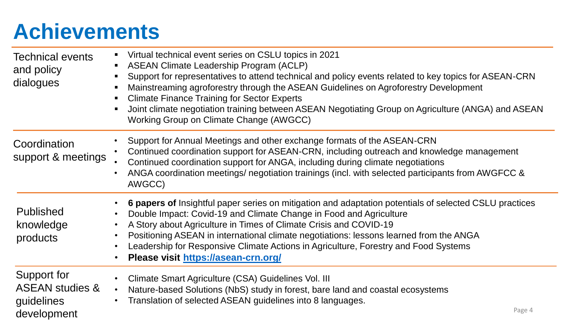## **Achievements**

| <b>Technical events</b><br>and policy<br>dialogues                     | Virtual technical event series on CSLU topics in 2021<br>$\blacksquare$<br><b>ASEAN Climate Leadership Program (ACLP)</b><br>٠<br>Support for representatives to attend technical and policy events related to key topics for ASEAN-CRN<br>$\blacksquare$<br>Mainstreaming agroforestry through the ASEAN Guidelines on Agroforestry Development<br>п<br><b>Climate Finance Training for Sector Experts</b><br>$\blacksquare$<br>Joint climate negotiation training between ASEAN Negotiating Group on Agriculture (ANGA) and ASEAN<br>$\blacksquare$<br>Working Group on Climate Change (AWGCC) |
|------------------------------------------------------------------------|--------------------------------------------------------------------------------------------------------------------------------------------------------------------------------------------------------------------------------------------------------------------------------------------------------------------------------------------------------------------------------------------------------------------------------------------------------------------------------------------------------------------------------------------------------------------------------------------------|
| Coordination<br>support & meetings                                     | Support for Annual Meetings and other exchange formats of the ASEAN-CRN<br>$\bullet$<br>Continued coordination support for ASEAN-CRN, including outreach and knowledge management<br>$\bullet$<br>Continued coordination support for ANGA, including during climate negotiations<br>ANGA coordination meetings/ negotiation trainings (incl. with selected participants from AWGFCC &<br>$\bullet$<br>AWGCC)                                                                                                                                                                                     |
| <b>Published</b><br>knowledge<br>products                              | 6 papers of Insightful paper series on mitigation and adaptation potentials of selected CSLU practices<br>Double Impact: Covid-19 and Climate Change in Food and Agriculture<br>$\bullet$<br>A Story about Agriculture in Times of Climate Crisis and COVID-19<br>$\bullet$<br>Positioning ASEAN in international climate negotiations: lessons learned from the ANGA<br>$\bullet$<br>Leadership for Responsive Climate Actions in Agriculture, Forestry and Food Systems<br>$\bullet$<br>Please visit https://asean-crn.org/<br>$\bullet$                                                       |
| Support for<br><b>ASEAN studies &amp;</b><br>guidelines<br>development | Climate Smart Agriculture (CSA) Guidelines Vol. III<br>$\bullet$<br>Nature-based Solutions (NbS) study in forest, bare land and coastal ecosystems<br>$\bullet$<br>Translation of selected ASEAN guidelines into 8 languages.<br>$\bullet$<br>Page 4                                                                                                                                                                                                                                                                                                                                             |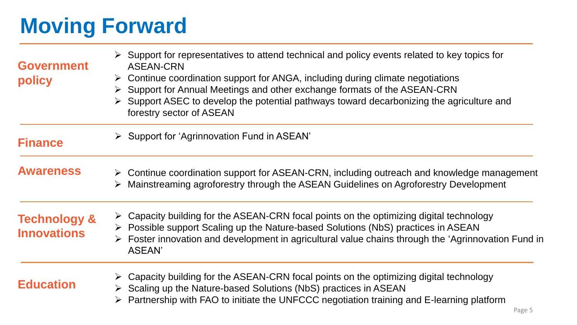## **Moving Forward**

| <b>Government</b><br>policy                   | $\triangleright$ Support for representatives to attend technical and policy events related to key topics for<br><b>ASEAN-CRN</b><br>$\triangleright$ Continue coordination support for ANGA, including during climate negotiations<br>Support for Annual Meetings and other exchange formats of the ASEAN-CRN<br>➤<br>Support ASEC to develop the potential pathways toward decarbonizing the agriculture and<br>forestry sector of ASEAN |
|-----------------------------------------------|-------------------------------------------------------------------------------------------------------------------------------------------------------------------------------------------------------------------------------------------------------------------------------------------------------------------------------------------------------------------------------------------------------------------------------------------|
| <b>Finance</b>                                | $\triangleright$ Support for 'Agrinnovation Fund in ASEAN'                                                                                                                                                                                                                                                                                                                                                                                |
| <b>Awareness</b>                              | $\triangleright$ Continue coordination support for ASEAN-CRN, including outreach and knowledge management<br>Mainstreaming agroforestry through the ASEAN Guidelines on Agroforestry Development                                                                                                                                                                                                                                          |
| <b>Technology &amp;</b><br><b>Innovations</b> | $\triangleright$ Capacity building for the ASEAN-CRN focal points on the optimizing digital technology<br>▶ Possible support Scaling up the Nature-based Solutions (NbS) practices in ASEAN<br>$\triangleright$ Foster innovation and development in agricultural value chains through the 'Agrinnovation Fund in<br><b>ASEAN'</b>                                                                                                        |
| <b>Education</b>                              | Capacity building for the ASEAN-CRN focal points on the optimizing digital technology<br>$\triangleright$ Scaling up the Nature-based Solutions (NbS) practices in ASEAN<br>$\triangleright$ Partnership with FAO to initiate the UNFCCC negotiation training and E-learning platform<br>Page 5                                                                                                                                           |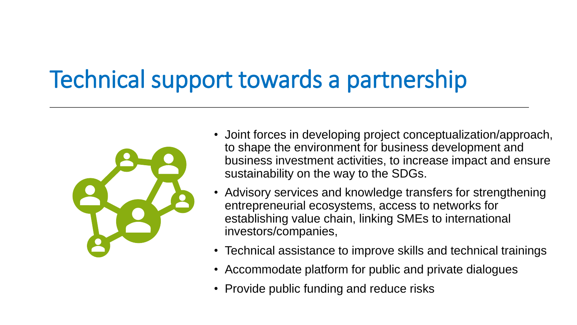# Technical support towards a partnership



- Joint forces in developing project conceptualization/approach, to shape the environment for business development and business investment activities, to increase impact and ensure sustainability on the way to the SDGs.
- Advisory services and knowledge transfers for strengthening entrepreneurial ecosystems, access to networks for establishing value chain, linking SMEs to international investors/companies,
- Technical assistance to improve skills and technical trainings
- Accommodate platform for public and private dialogues
- Provide public funding and reduce risks